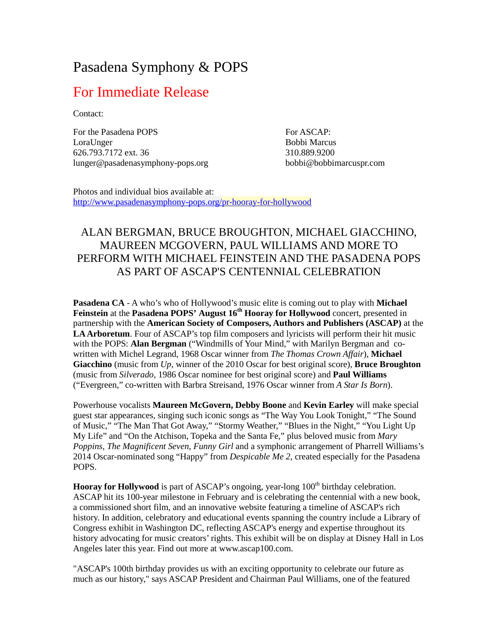# Pasadena Symphony & POPS

## For Immediate Release

Contact:

For the Pasadena POPS LoraUnger 626.793.7172 ext. 36 lunger@pasadenasymphony-pops.org For ASCAP: Bobbi Marcus 310.889.9200 [bobbi@bobbimarcuspr.com](mailto:bobbi@bobbimarcuspr.com)

Photos and individual bios available at: <http://www.pasadenasymphony-pops.org/pr-hooray-for-hollywood>

### ALAN BERGMAN, BRUCE BROUGHTON, MICHAEL GIACCHINO, MAUREEN MCGOVERN, PAUL WILLIAMS AND MORE TO PERFORM WITH MICHAEL FEINSTEIN AND THE PASADENA POPS AS PART OF ASCAP'S CENTENNIAL CELEBRATION

**Pasadena CA** - A who's who of Hollywood's music elite is coming out to play with **Michael Feinstein** at the **Pasadena POPS' August 16th Hooray for Hollywood** concert, presented in partnership with the **American Society of Composers, Authors and Publishers (ASCAP)** at the **LA Arboretum**. Four of ASCAP's top film composers and lyricists will perform their hit music with the POPS: **Alan Bergman** ("Windmills of Your Mind," with Marilyn Bergman and cowritten with Michel Legrand, 1968 Oscar winner from *The Thomas Crown Affair*), **Michael Giacchino** (music from *Up*, winner of the 2010 Oscar for best original score), **Bruce Broughton** (music from *Silverado,* 1986 Oscar nominee for best original score) and **Paul Williams** ("Evergreen," co-written with Barbra Streisand, 1976 Oscar winner from *A Star Is Born*).

Powerhouse vocalists **Maureen McGovern, Debby Boone** and **Kevin Earley** will make special guest star appearances, singing such iconic songs as "The Way You Look Tonight," "The Sound of Music," "The Man That Got Away," "Stormy Weather," "Blues in the Night," "You Light Up My Life" and "On the Atchison, Topeka and the Santa Fe," plus beloved music from *Mary Poppins*, *The Magnificent Seven*, *Funny Girl* and a symphonic arrangement of Pharrell Williams's 2014 Oscar-nominated song "Happy" from *Despicable Me 2*, created especially for the Pasadena POPS.

**Hooray for Hollywood** is part of ASCAP's ongoing, year-long 100<sup>th</sup> birthday celebration. ASCAP hit its 100-year milestone in February and is celebrating the centennial with a new book, a commissioned short film, and an innovative website featuring a timeline of ASCAP's rich history. In addition, celebratory and educational events spanning the country include a Library of Congress exhibit in Washington DC, reflecting ASCAP's energy and expertise throughout its history advocating for music creators' rights. This exhibit will be on display at Disney Hall in Los Angeles later this year. Find out more at [www.ascap100.com.](http://www.ascap100.com/)

"ASCAP's 100th birthday provides us with an exciting opportunity to celebrate our future as much as our history," says ASCAP President and Chairman Paul Williams, one of the featured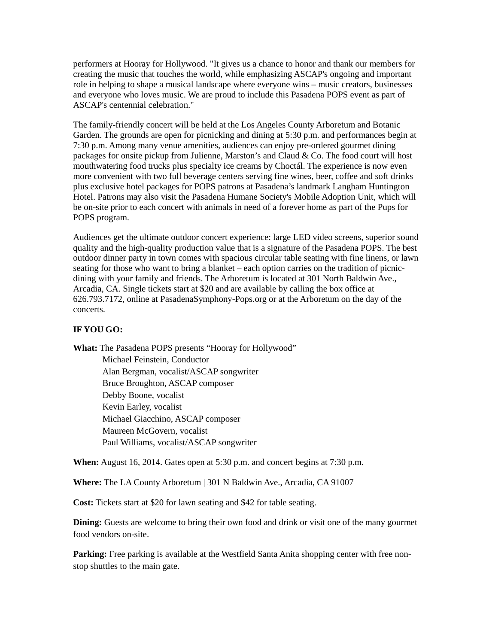performers at Hooray for Hollywood. "It gives us a chance to honor and thank our members for creating the music that touches the world, while emphasizing ASCAP's ongoing and important role in helping to shape a musical landscape where everyone wins – music creators, businesses and everyone who loves music. We are proud to include this Pasadena POPS event as part of ASCAP's centennial celebration."

The family-friendly concert will be held at the Los Angeles County Arboretum and Botanic Garden. The grounds are open for picnicking and dining at 5:30 p.m. and performances begin at 7:30 p.m. Among many venue amenities, audiences can enjoy pre-ordered gourmet dining packages for onsite pickup from Julienne, Marston's and Claud & Co. The food court will host mouthwatering food trucks plus specialty ice creams by Choctál. The experience is now even more convenient with two full beverage centers serving fine wines, beer, coffee and soft drinks plus exclusive hotel packages for POPS patrons at Pasadena's landmark Langham Huntington Hotel. Patrons may also visit the Pasadena Humane Society's Mobile Adoption Unit, which will be on-site prior to each concert with animals in need of a forever home as part of the Pups for POPS program.

Audiences get the ultimate outdoor concert experience: large LED video screens, superior sound quality and the high-quality production value that is a signature of the Pasadena POPS. The best outdoor dinner party in town comes with spacious circular table seating with fine linens, or lawn seating for those who want to bring a blanket – each option carries on the tradition of picnicdining with your family and friends. The Arboretum is located at 301 North Baldwin Ave., Arcadia, CA. Single tickets start at \$20 and are available by calling the box office at 626.793.7172, online at PasadenaSymphony-Pops.org or at the Arboretum on the day of the concerts.

#### **IF YOU GO:**

**What:** The Pasadena POPS presents "Hooray for Hollywood"

Michael Feinstein, Conductor Alan Bergman, vocalist/ASCAP songwriter Bruce Broughton, ASCAP composer Debby Boone, vocalist Kevin Earley, vocalist Michael Giacchino, ASCAP composer Maureen McGovern, vocalist Paul Williams, vocalist/ASCAP songwriter

**When:** August 16, 2014. Gates open at 5:30 p.m. and concert begins at 7:30 p.m.

**Where:** The LA County Arboretum | 301 N Baldwin Ave., Arcadia, CA 91007

**Cost:** Tickets start at \$20 for lawn seating and \$42 for table seating.

**Dining:** Guests are welcome to bring their own food and drink or visit one of the many gourmet food vendors on-site.

Parking: Free parking is available at the Westfield Santa Anita shopping center with free nonstop shuttles to the main gate.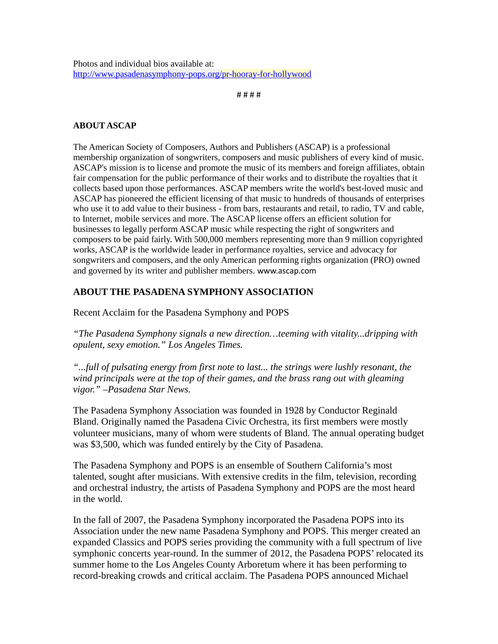# # # #

#### **ABOUT ASCAP**

The American Society of Composers, Authors and Publishers (ASCAP) is a professional membership organization of songwriters, composers and music publishers of every kind of music. ASCAP's mission is to license and promote the music of its members and foreign affiliates, obtain fair compensation for the public performance of their works and to distribute the royalties that it collects based upon those performances. ASCAP members write the world's best-loved music and ASCAP has pioneered the efficient licensing of that music to hundreds of thousands of enterprises who use it to add value to their business - from bars, restaurants and retail, to radio, TV and cable, to Internet, mobile services and more. The ASCAP license offers an efficient solution for businesses to legally perform ASCAP music while respecting the right of songwriters and composers to be paid fairly. With 500,000 members representing more than 9 million copyrighted works, ASCAP is the worldwide leader in performance royalties, service and advocacy for songwriters and composers, and the only American performing rights organization (PRO) owned and governed by its writer and publisher members. [www.ascap.com](http://www.ascap.com/)

### **ABOUT THE PASADENA SYMPHONY ASSOCIATION**

Recent Acclaim for the Pasadena Symphony and POPS

*"The Pasadena Symphony signals a new direction…teeming with vitality...dripping with opulent, sexy emotion." Los Angeles Times.* 

*"...full of pulsating energy from first note to last... the strings were lushly resonant, the wind principals were at the top of their games, and the brass rang out with gleaming vigor." –Pasadena Star News.*

The Pasadena Symphony Association was founded in 1928 by Conductor Reginald Bland. Originally named the Pasadena Civic Orchestra, its first members were mostly volunteer musicians, many of whom were students of Bland. The annual operating budget was \$3,500, which was funded entirely by the City of Pasadena.

The Pasadena Symphony and POPS is an ensemble of Southern California's most talented, sought after musicians. With extensive credits in the film, television, recording and orchestral industry, the artists of Pasadena Symphony and POPS are the most heard in the world.

In the fall of 2007, the Pasadena Symphony incorporated the Pasadena POPS into its Association under the new name Pasadena Symphony and POPS. This merger created an expanded Classics and POPS series providing the community with a full spectrum of live symphonic concerts year-round. In the summer of 2012, the Pasadena POPS' relocated its summer home to the Los Angeles County Arboretum where it has been performing to record-breaking crowds and critical acclaim. The Pasadena POPS announced Michael